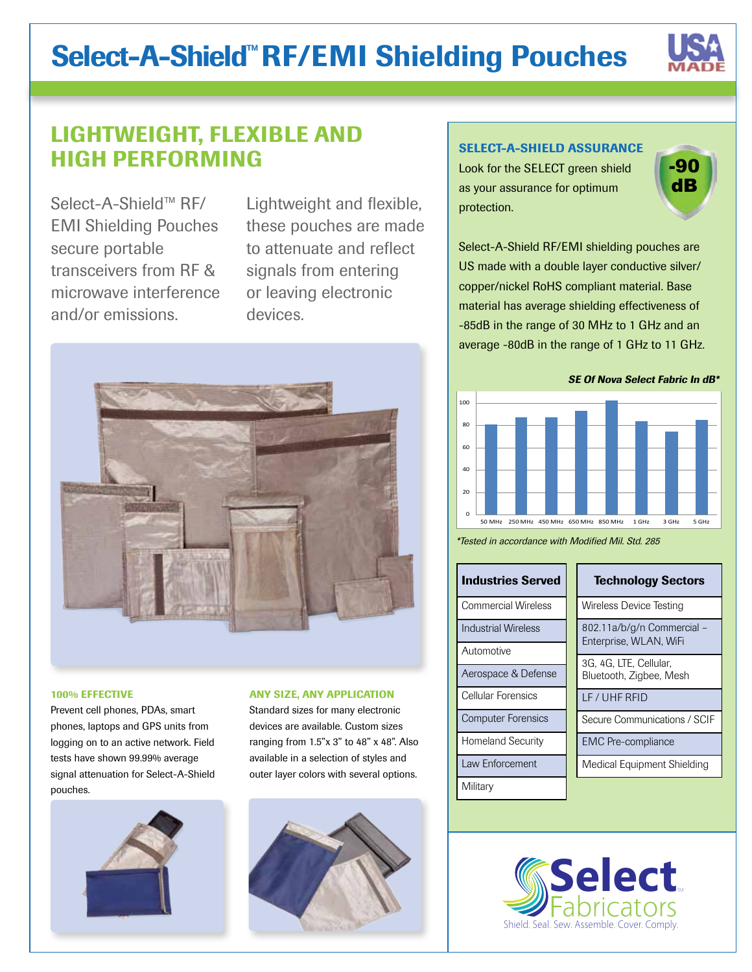# Select-A-Shield™ RF/EMI Shielding Pouches



## LIGHTWEIGHT, FLEXIBLE AND HIGH PERFORMING

Select-A-Shield™ RF/ EMI Shielding Pouches secure portable transceivers from RF & microwave interference and/or emissions.

Lightweight and flexible, these pouches are made to attenuate and reflect signals from entering or leaving electronic devices.



#### 100% EFFECTIVE

Prevent cell phones, PDAs, smart phones, laptops and GPS units from logging on to an active network. Field tests have shown 99.99% average signal attenuation for Select-A-Shield pouches.



#### ANY SIZE, ANY APPLICATION

Standard sizes for many electronic devices are available. Custom sizes ranging from 1.5"x 3" to 48" x 48". Also available in a selection of styles and outer layer colors with several options.



### SELECT-A-SHIELD ASSURANCE

Look for the SELECT green shield as your assurance for optimum protection.



Select-A-Shield RF/EMI shielding pouches are US made with a double layer conductive silver/ copper/nickel RoHS compliant material. Base material has average shielding effectiveness of -85dB in the range of 30 MHz to 1 GHz and an average -80dB in the range of 1 GHz to 11 GHz.

**SE Of Nova Select Fabric In dB\*** 



\*Tested in accordance with Modified Mil. Std. 285

| <b>Industries Served</b>  |  | <b>Technology Sectors</b>                            |  |
|---------------------------|--|------------------------------------------------------|--|
| Commercial Wireless       |  | Wireless Device Testing                              |  |
| Industrial Wireless       |  | 802.11a/b/g/n Commercial -<br>Enterprise, WLAN, WiFi |  |
| Automotive                |  |                                                      |  |
|                           |  | 3G, 4G, LTE, Cellular,<br>Bluetooth, Zigbee, Mesh    |  |
| Aerospace & Defense       |  |                                                      |  |
| Cellular Forensics        |  | LF / UHF RFID                                        |  |
| <b>Computer Forensics</b> |  | Secure Communications / SCIF                         |  |
| <b>Homeland Security</b>  |  | <b>EMC</b> Pre-compliance                            |  |
| Law Enforcement           |  | Medical Equipment Shielding                          |  |
| Military                  |  |                                                      |  |